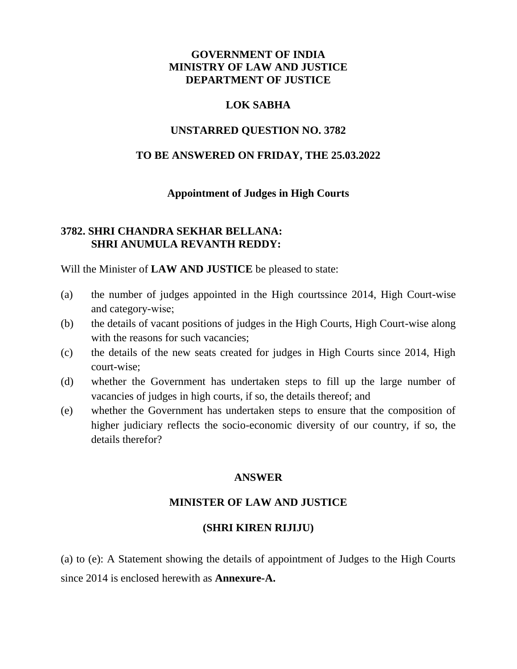## **GOVERNMENT OF INDIA MINISTRY OF LAW AND JUSTICE DEPARTMENT OF JUSTICE**

### **LOK SABHA**

### **UNSTARRED QUESTION NO. 3782**

### **TO BE ANSWERED ON FRIDAY, THE 25.03.2022**

#### **Appointment of Judges in High Courts**

## **3782. SHRI CHANDRA SEKHAR BELLANA: SHRI ANUMULA REVANTH REDDY:**

Will the Minister of **LAW AND JUSTICE** be pleased to state:

- (a) the number of judges appointed in the High courtssince 2014, High Court-wise and category-wise;
- (b) the details of vacant positions of judges in the High Courts, High Court-wise along with the reasons for such vacancies:
- (c) the details of the new seats created for judges in High Courts since 2014, High court-wise;
- (d) whether the Government has undertaken steps to fill up the large number of vacancies of judges in high courts, if so, the details thereof; and
- (e) whether the Government has undertaken steps to ensure that the composition of higher judiciary reflects the socio-economic diversity of our country, if so, the details therefor?

## **ANSWER**

#### **MINISTER OF LAW AND JUSTICE**

#### **(SHRI KIREN RIJIJU)**

(a) to (e): A Statement showing the details of appointment of Judges to the High Courts since 2014 is enclosed herewith as **Annexure-A.**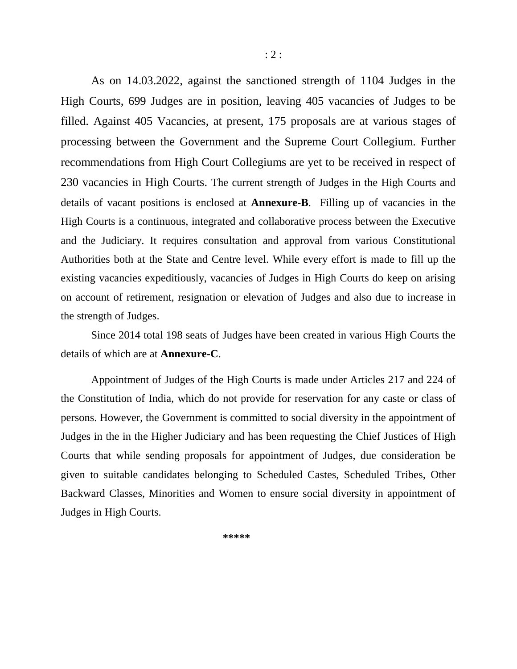As on 14.03.2022, against the sanctioned strength of 1104 Judges in the High Courts, 699 Judges are in position, leaving 405 vacancies of Judges to be filled. Against 405 Vacancies, at present, 175 proposals are at various stages of processing between the Government and the Supreme Court Collegium. Further recommendations from High Court Collegiums are yet to be received in respect of 230 vacancies in High Courts. The current strength of Judges in the High Courts and details of vacant positions is enclosed at **Annexure-B**. Filling up of vacancies in the High Courts is a continuous, integrated and collaborative process between the Executive and the Judiciary. It requires consultation and approval from various Constitutional Authorities both at the State and Centre level. While every effort is made to fill up the existing vacancies expeditiously, vacancies of Judges in High Courts do keep on arising on account of retirement, resignation or elevation of Judges and also due to increase in the strength of Judges.

Since 2014 total 198 seats of Judges have been created in various High Courts the details of which are at **Annexure-C**.

Appointment of Judges of the High Courts is made under Articles 217 and 224 of the Constitution of India, which do not provide for reservation for any caste or class of persons. However, the Government is committed to social diversity in the appointment of Judges in the in the Higher Judiciary and has been requesting the Chief Justices of High Courts that while sending proposals for appointment of Judges, due consideration be given to suitable candidates belonging to Scheduled Castes, Scheduled Tribes, Other Backward Classes, Minorities and Women to ensure social diversity in appointment of Judges in High Courts.

\*\*\*\*\*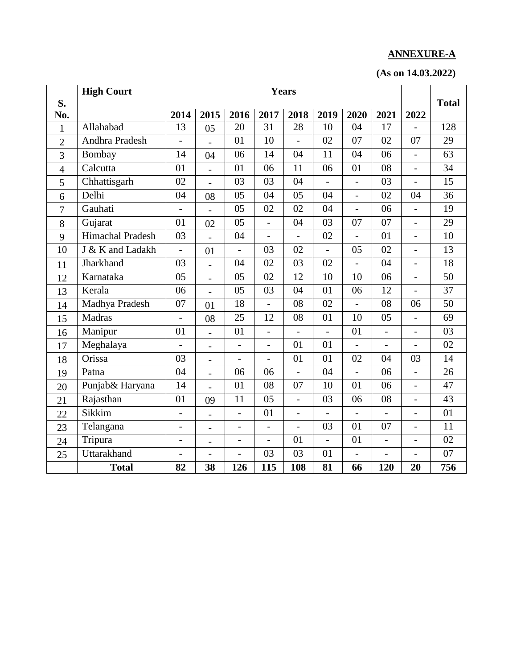# **ANNEXURE-A**

|  | (As on 14.03.2022) |
|--|--------------------|
|--|--------------------|

| S.             | <b>High Court</b> | <b>Years</b>             |                          |                          |                |                          |                          | <b>Total</b>             |                          |                |                 |
|----------------|-------------------|--------------------------|--------------------------|--------------------------|----------------|--------------------------|--------------------------|--------------------------|--------------------------|----------------|-----------------|
| No.            |                   | 2014                     | 2015                     | 2016                     | 2017           | 2018                     | 2019                     | 2020                     | 2021                     | 2022           |                 |
| 1              | Allahabad         | 13                       | 05                       | 20                       | 31             | 28                       | 10                       | 04                       | 17                       |                | 128             |
| $\overline{2}$ | Andhra Pradesh    | $\overline{\phantom{0}}$ |                          | 01                       | 10             | $\blacksquare$           | 02                       | 07                       | 02                       | 07             | 29              |
| 3              | Bombay            | 14                       | 04                       | 06                       | 14             | 04                       | 11                       | 04                       | 06                       | $\overline{a}$ | 63              |
| $\overline{4}$ | Calcutta          | 01                       | $\overline{\phantom{0}}$ | 01                       | 06             | 11                       | 06                       | 01                       | 08                       | $\overline{a}$ | 34              |
| 5              | Chhattisgarh      | 02                       |                          | 03                       | 03             | 04                       |                          | $\overline{a}$           | 03                       | $\overline{a}$ | 15              |
| 6              | Delhi             | 04                       | 08                       | 05                       | 04             | 05                       | 04                       | $\overline{a}$           | 02                       | 04             | 36              |
| $\overline{7}$ | Gauhati           | $\overline{\phantom{0}}$ |                          | 05                       | 02             | 02                       | 04                       | $\overline{a}$           | 06                       | $\overline{a}$ | 19              |
| 8              | Gujarat           | 01                       | 02                       | 05                       | $\overline{a}$ | 04                       | 03                       | 07                       | 07                       |                | 29              |
| 9              | Himachal Pradesh  | 03                       |                          | 04                       | $\overline{a}$ | $\overline{\phantom{0}}$ | 02                       | $\overline{a}$           | 01                       | $\overline{a}$ | 10              |
| 10             | J & K and Ladakh  | $\overline{\phantom{0}}$ | 01                       |                          | 03             | 02                       |                          | 05                       | 02                       | $\overline{a}$ | 13              |
| 11             | Jharkhand         | 03                       | $\overline{a}$           | 04                       | 02             | 03                       | 02                       | $\overline{a}$           | 04                       | $\overline{a}$ | 18              |
| 12             | Karnataka         | 05                       | $\overline{a}$           | 05                       | 02             | 12                       | 10                       | 10                       | 06                       | $\overline{a}$ | 50              |
| 13             | Kerala            | 06                       |                          | 05                       | 03             | 04                       | 01                       | 06                       | 12                       |                | $\overline{37}$ |
| 14             | Madhya Pradesh    | 07                       | 01                       | 18                       | $\frac{1}{2}$  | 08                       | 02                       | $\overline{\phantom{0}}$ | 08                       | 06             | 50              |
| 15             | Madras            |                          | 08                       | 25                       | 12             | 08                       | 01                       | 10                       | 05                       | $\overline{a}$ | 69              |
| 16             | Manipur           | 01                       | $\overline{a}$           | 01                       | $\overline{a}$ | $\overline{a}$           | $\overline{a}$           | 01                       | $\overline{a}$           | $\overline{a}$ | 03              |
| 17             | Meghalaya         | $\overline{\phantom{0}}$ | $\overline{\phantom{0}}$ | $\overline{\phantom{0}}$ | $\overline{a}$ | 01                       | 01                       | $\overline{a}$           | $\overline{a}$           | $\overline{a}$ | 02              |
| 18             | Orissa            | 03                       | $\overline{a}$           |                          | $\overline{a}$ | 01                       | 01                       | 02                       | 04                       | 03             | 14              |
| 19             | Patna             | 04                       | $\overline{a}$           | 06                       | 06             | $\overline{a}$           | 04                       | $\overline{a}$           | 06                       | $\overline{a}$ | 26              |
| 20             | Punjab& Haryana   | 14                       | $\overline{a}$           | 01                       | 08             | 07                       | 10                       | 01                       | 06                       | $\overline{a}$ | 47              |
| 21             | Rajasthan         | 01                       | 09                       | 11                       | 05             | $\blacksquare$           | 03                       | 06                       | 08                       | $\overline{a}$ | 43              |
| 22             | Sikkim            | $\overline{\phantom{a}}$ | $\overline{a}$           | $\overline{a}$           | 01             | $\overline{\phantom{a}}$ |                          |                          |                          | $\overline{a}$ | 01              |
| 23             | Telangana         | $\overline{\phantom{0}}$ | $\overline{a}$           | $\overline{a}$           | $\overline{a}$ |                          | 03                       | 01                       | 07                       | $\overline{a}$ | 11              |
| 24             | Tripura           | $\overline{\phantom{a}}$ | $\overline{\phantom{0}}$ | $\qquad \qquad -$        | $\overline{a}$ | 01                       | $\overline{\phantom{0}}$ | 01                       | $\overline{\phantom{0}}$ | $\overline{a}$ | 02              |
| 25             | Uttarakhand       | $\overline{\phantom{0}}$ | $\overline{a}$           |                          | 03             | 03                       | 01                       | $\overline{a}$           | $\overline{\phantom{a}}$ | $\overline{a}$ | 07              |
|                | <b>Total</b>      | 82                       | 38                       | 126                      | 115            | 108                      | 81                       | 66                       | 120                      | 20             | 756             |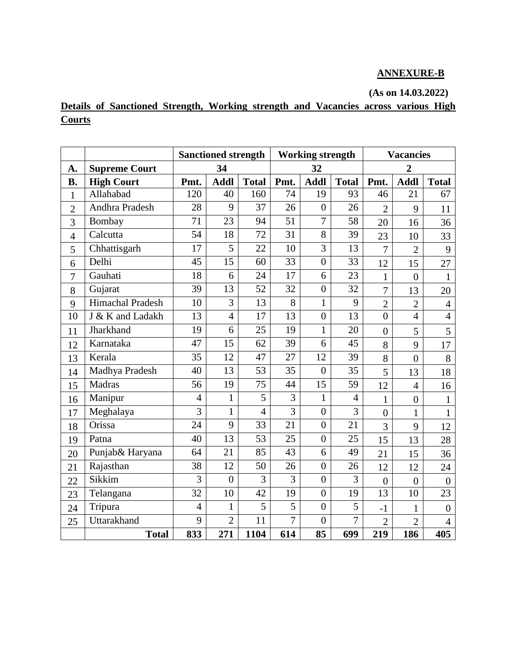## **ANNEXURE-B**

## **(As on 14.03.2022)**

**Details of Sanctioned Strength, Working strength and Vacancies across various High Courts** 

|                |                         | <b>Sanctioned strength</b> |                  |                | <b>Working strength</b> |                  |                 | <b>Vacancies</b> |                |                  |
|----------------|-------------------------|----------------------------|------------------|----------------|-------------------------|------------------|-----------------|------------------|----------------|------------------|
| A.             | <b>Supreme Court</b>    | 34                         |                  |                |                         | 32               |                 | $\overline{2}$   |                |                  |
| <b>B.</b>      | <b>High Court</b>       | Pmt.                       | <b>Addl</b>      | <b>Total</b>   | Pmt.                    | <b>Addl</b>      | <b>Total</b>    | Pmt.             | <b>Addl</b>    | <b>Total</b>     |
| $\mathbf{1}$   | Allahabad               | 120                        | 40               | 160            | 74                      | 19               | 93              | 46               | 21             | 67               |
| $\overline{2}$ | Andhra Pradesh          | 28                         | 9                | 37             | 26                      | $\overline{0}$   | 26              | $\overline{2}$   | 9              | 11               |
| 3              | Bombay                  | 71                         | 23               | 94             | 51                      | $\overline{7}$   | 58              | 20               | 16             | 36               |
| $\overline{4}$ | Calcutta                | 54                         | 18               | 72             | 31                      | 8                | 39              | 23               | 10             | 33               |
| 5              | Chhattisgarh            | 17                         | 5                | 22             | 10                      | 3                | 13              | $\overline{7}$   | $\overline{2}$ | 9                |
| 6              | Delhi                   | 45                         | 15               | 60             | 33                      | $\overline{0}$   | 33              | 12               | 15             | 27               |
| $\overline{7}$ | Gauhati                 | 18                         | 6                | 24             | 17                      | 6                | 23              | $\mathbf{1}$     | $\overline{0}$ | $\mathbf{1}$     |
| 8              | Gujarat                 | 39                         | 13               | 52             | 32                      | $\boldsymbol{0}$ | 32              | 7                | 13             | 20               |
| 9              | <b>Himachal Pradesh</b> | 10                         | 3                | 13             | 8                       | $\mathbf{1}$     | 9               | $\overline{2}$   | $\overline{2}$ | $\overline{4}$   |
| 10             | J & K and Ladakh        | 13                         | $\overline{4}$   | 17             | 13                      | $\overline{0}$   | 13              | $\overline{0}$   | $\overline{4}$ | $\overline{4}$   |
| 11             | Jharkhand               | 19                         | 6                | 25             | 19                      | $\mathbf{1}$     | 20              | $\boldsymbol{0}$ | 5              | 5                |
| 12             | Karnataka               | 47                         | 15               | 62             | 39                      | 6                | 45              | 8                | 9              | 17               |
| 13             | Kerala                  | 35                         | 12               | 47             | $\overline{27}$         | 12               | $\overline{39}$ | 8                | $\overline{0}$ | 8                |
| 14             | Madhya Pradesh          | 40                         | 13               | 53             | 35                      | $\overline{0}$   | 35              | 5                | 13             | 18               |
| 15             | Madras                  | 56                         | 19               | 75             | 44                      | 15               | 59              | 12               | $\overline{4}$ | 16               |
| 16             | Manipur                 | $\overline{4}$             | $\mathbf{1}$     | 5              | 3                       | $\mathbf{1}$     | $\overline{4}$  | $\mathbf{1}$     | $\overline{0}$ | $\mathbf{1}$     |
| 17             | Meghalaya               | $\overline{3}$             | $\mathbf{1}$     | $\overline{4}$ | $\overline{3}$          | $\overline{0}$   | $\overline{3}$  | $\overline{0}$   | $\mathbf{1}$   | $\mathbf{1}$     |
| 18             | Orissa                  | 24                         | 9                | 33             | 21                      | $\overline{0}$   | 21              | $\overline{3}$   | 9              | 12               |
| 19             | Patna                   | 40                         | 13               | 53             | 25                      | $\overline{0}$   | 25              | 15               | 13             | 28               |
| 20             | Punjab& Haryana         | 64                         | 21               | 85             | 43                      | 6                | 49              | 21               | 15             | 36               |
| 21             | Rajasthan               | 38                         | 12               | 50             | 26                      | $\overline{0}$   | 26              | 12               | 12             | 24               |
| 22             | Sikkim                  | 3                          | $\boldsymbol{0}$ | 3              | 3                       | $\overline{0}$   | 3               | $\overline{0}$   | $\overline{0}$ | $\overline{0}$   |
| 23             | Telangana               | 32                         | 10               | 42             | 19                      | $\overline{0}$   | 19              | 13               | 10             | 23               |
| 24             | Tripura                 | $\overline{4}$             | $\mathbf{1}$     | 5              | 5                       | $\boldsymbol{0}$ | 5               | $-1$             | $\mathbf{1}$   | $\boldsymbol{0}$ |
| 25             | Uttarakhand             | 9                          | $\overline{2}$   | 11             | $\overline{7}$          | $\overline{0}$   | 7               | $\overline{2}$   | $\overline{2}$ | $\overline{4}$   |
|                | <b>Total</b>            | 833                        | 271              | 1104           | 614                     | 85               | 699             | 219              | 186            | 405              |